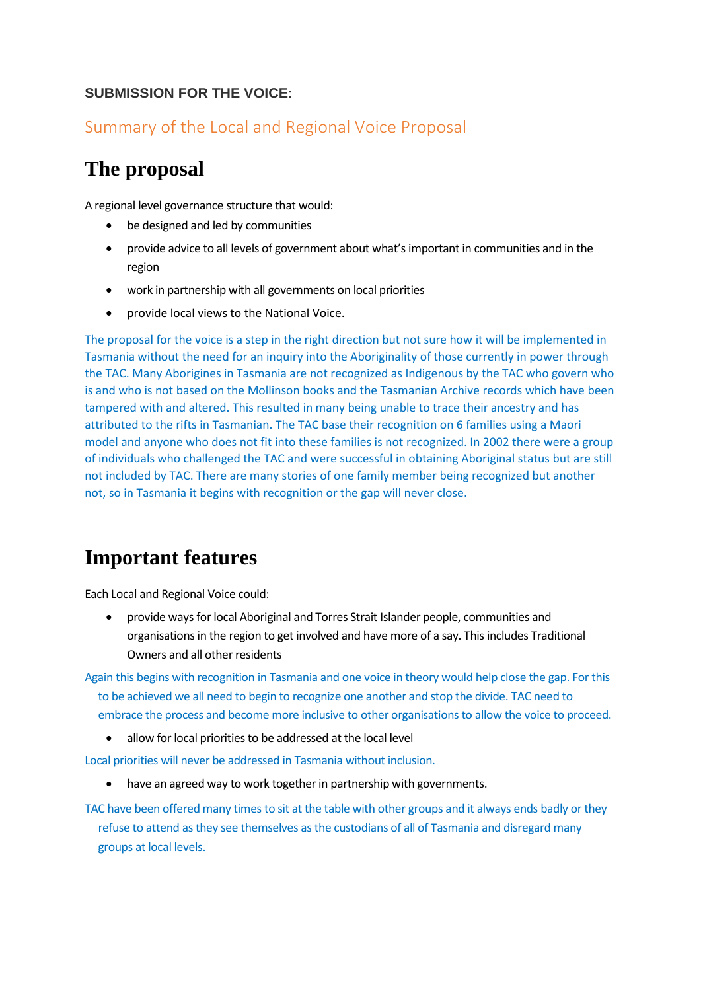#### **SUBMISSION FOR THE VOICE:**

#### Summary of the Local and Regional Voice Proposal

# **The proposal**

A regional level governance structure that would:

- be designed and led by communities
- provide advice to all levels of government about what'simportant in communities and in the region
- work in partnership with all governments on local priorities
- provide local views to the National Voice.

The proposal for the voice is a step in the right direction but not sure how it will be implemented in Tasmania without the need for an inquiry into the Aboriginality of those currently in power through the TAC. Many Aborigines in Tasmania are not recognized as Indigenous by the TAC who govern who is and who is not based on the Mollinson books and the Tasmanian Archive records which have been tampered with and altered. This resulted in many being unable to trace their ancestry and has attributed to the rifts in Tasmanian. The TAC base their recognition on 6 families using a Maori model and anyone who does not fit into these families is not recognized. In 2002 there were a group of individuals who challenged the TAC and were successful in obtaining Aboriginal status but are still not included by TAC. There are many stories of one family member being recognized but another not, so in Tasmania it begins with recognition or the gap will never close.

## **Important features**

Each Local and Regional Voice could:

• provide ways for local Aboriginal and Torres Strait Islander people, communities and organisations in the region to get involved and have more of a say. This includes Traditional Owners and all other residents

Again this begins with recognition in Tasmania and one voice in theory would help close the gap. For this to be achieved we all need to begin to recognize one another and stop the divide. TAC need to embrace the process and become more inclusive to other organisations to allow the voice to proceed.

• allow for local priorities to be addressed at the local level

Local priorities will never be addressed in Tasmania without inclusion.

have an agreed way to work together in partnership with governments.

TAC have been offered many times to sit at the table with other groups and it always ends badly or they refuse to attend as they see themselves as the custodians of all of Tasmania and disregard many groups at local levels.